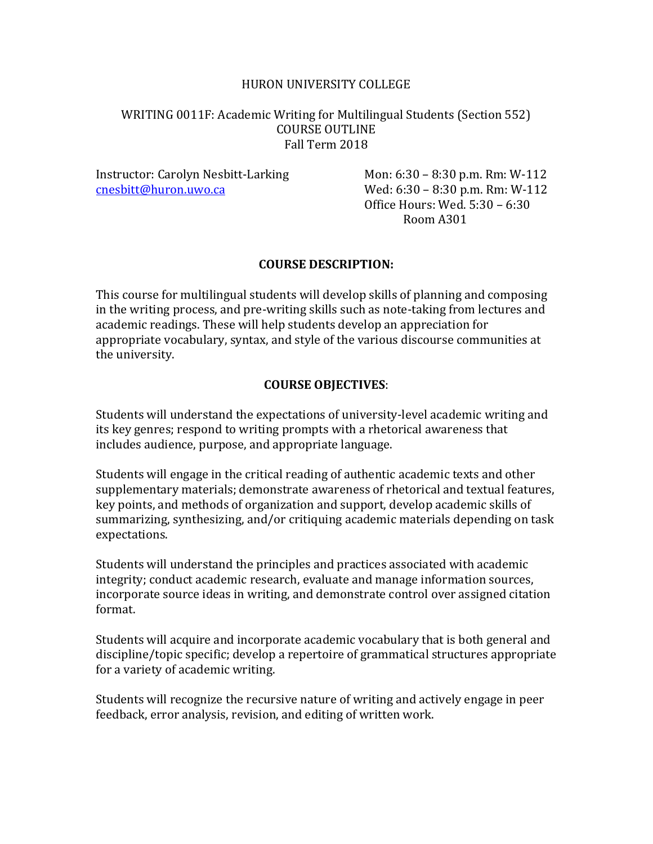## HURON UNIVERSITY COLLEGE

## WRITING 0011F: Academic Writing for Multilingual Students (Section 552) COURSE OUTLINE Fall Term 2018

Instructor: Carolyn Nesbitt-Larking Mon: 6:30 – 8:30 p.m. Rm: W-112 [cnesbitt@huron.uwo.ca](mailto:cnesbitt@huron.uwo.ca) Wed: 6:30 – 8:30 p.m. Rm: W-112

Office Hours: Wed. 5:30 – 6:30 Room A301

## **COURSE DESCRIPTION:**

This course for multilingual students will develop skills of planning and composing in the writing process, and pre-writing skills such as note-taking from lectures and academic readings. These will help students develop an appreciation for appropriate vocabulary, syntax, and style of the various discourse communities at the university.

## **COURSE OBJECTIVES**:

Students will understand the expectations of university-level academic writing and its key genres; respond to writing prompts with a rhetorical awareness that includes audience, purpose, and appropriate language.

Students will engage in the critical reading of authentic academic texts and other supplementary materials; demonstrate awareness of rhetorical and textual features, key points, and methods of organization and support, develop academic skills of summarizing, synthesizing, and/or critiquing academic materials depending on task expectations.

Students will understand the principles and practices associated with academic integrity; conduct academic research, evaluate and manage information sources, incorporate source ideas in writing, and demonstrate control over assigned citation format.

Students will acquire and incorporate academic vocabulary that is both general and discipline/topic specific; develop a repertoire of grammatical structures appropriate for a variety of academic writing.

Students will recognize the recursive nature of writing and actively engage in peer feedback, error analysis, revision, and editing of written work.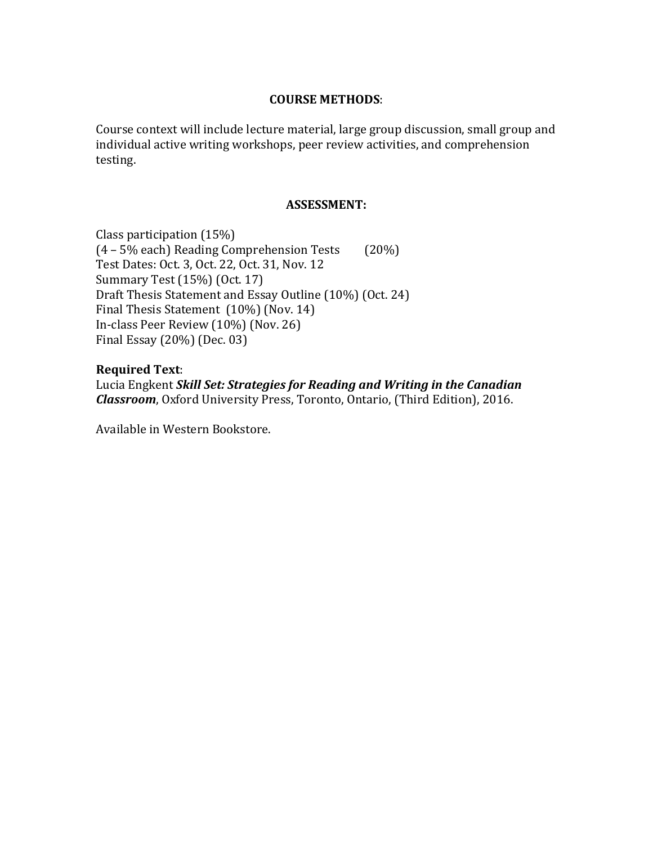#### **COURSE METHODS**:

Course context will include lecture material, large group discussion, small group and individual active writing workshops, peer review activities, and comprehension testing.

#### **ASSESSMENT:**

Class participation (15%) (4 – 5% each) Reading Comprehension Tests (20%) Test Dates: Oct. 3, Oct. 22, Oct. 31, Nov. 12 Summary Test (15%) (Oct. 17) Draft Thesis Statement and Essay Outline (10%) (Oct. 24) Final Thesis Statement (10%) (Nov. 14) In-class Peer Review (10%) (Nov. 26) Final Essay (20%) (Dec. 03)

**Required Text**: Lucia Engkent *Skill Set: Strategies for Reading and Writing in the Canadian Classroom*, Oxford University Press, Toronto, Ontario, (Third Edition), 2016.

Available in Western Bookstore.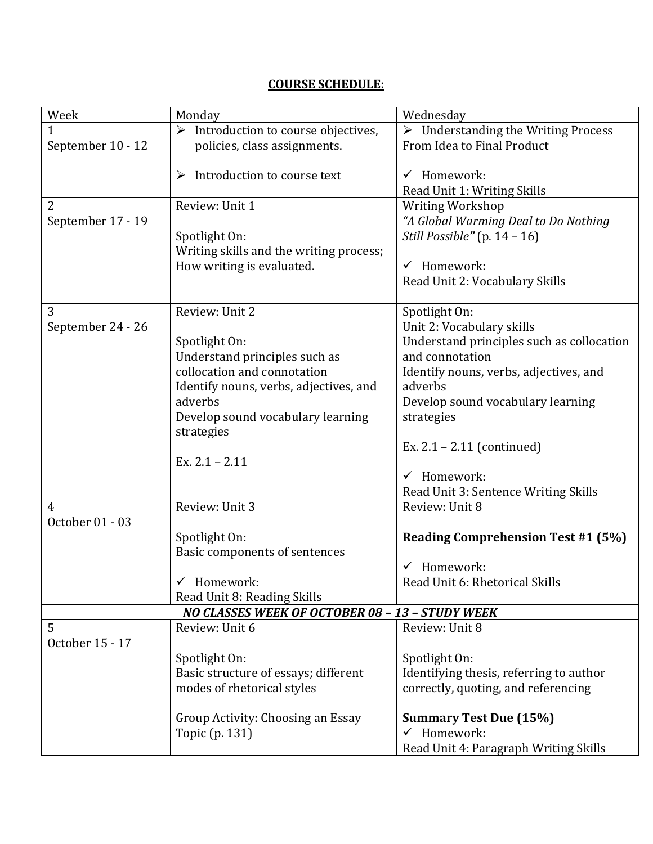# **COURSE SCHEDULE:**

| Week                                            | Monday                                  | Wednesday                                     |
|-------------------------------------------------|-----------------------------------------|-----------------------------------------------|
| 1                                               | Introduction to course objectives,<br>➤ | <b>Understanding the Writing Process</b><br>➤ |
| September 10 - 12                               | policies, class assignments.            | From Idea to Final Product                    |
|                                                 | Introduction to course text<br>➤        | $\checkmark$ Homework:                        |
|                                                 |                                         | Read Unit_1: Writing Skills                   |
| $\overline{2}$                                  | Review: Unit 1                          | Writing Workshop                              |
| September 17 - 19                               |                                         | "A Global Warming Deal to Do Nothing          |
|                                                 | Spotlight On:                           | Still Possible" $(p. 14 - 16)$                |
|                                                 | Writing skills and the writing process; |                                               |
|                                                 | How writing is evaluated.               | $\checkmark$ Homework:                        |
|                                                 |                                         | Read Unit 2: Vocabulary Skills                |
|                                                 |                                         |                                               |
| 3                                               | Review: Unit 2                          | Spotlight On:                                 |
| September 24 - 26                               |                                         | Unit 2: Vocabulary skills                     |
|                                                 | Spotlight On:                           | Understand principles such as collocation     |
|                                                 | Understand principles such as           | and connotation                               |
|                                                 | collocation and connotation             | Identify nouns, verbs, adjectives, and        |
|                                                 | Identify nouns, verbs, adjectives, and  | adverbs                                       |
|                                                 | adverbs                                 | Develop sound vocabulary learning             |
|                                                 | Develop sound vocabulary learning       | strategies                                    |
|                                                 | strategies                              |                                               |
|                                                 |                                         | Ex. $2.1 - 2.11$ (continued)                  |
|                                                 | Ex. $2.1 - 2.11$                        |                                               |
|                                                 |                                         | $\checkmark$ Homework:                        |
|                                                 |                                         | Read Unit 3: Sentence Writing Skills          |
| 4                                               | Review: Unit 3                          | Review: Unit 8                                |
| October 01 - 03                                 |                                         |                                               |
|                                                 | Spotlight On:                           | <b>Reading Comprehension Test #1 (5%)</b>     |
|                                                 | Basic components of sentences           |                                               |
|                                                 |                                         | $\checkmark$ Homework:                        |
|                                                 | $\checkmark$ Homework:                  | Read Unit 6: Rhetorical Skills                |
|                                                 | Read Unit 8: Reading Skills             |                                               |
| NO CLASSES WEEK OF OCTOBER 08 - 13 - STUDY WEEK |                                         |                                               |
| 5                                               | Review: Unit 6                          | Review: Unit 8                                |
| October 15 - 17                                 |                                         |                                               |
|                                                 | Spotlight On:                           | Spotlight On:                                 |
|                                                 | Basic structure of essays; different    | Identifying thesis, referring to author       |
|                                                 | modes of rhetorical styles              | correctly, quoting, and referencing           |
|                                                 | Group Activity: Choosing an Essay       | <b>Summary Test Due (15%)</b>                 |
|                                                 | Topic (p. 131)                          | $\checkmark$ Homework:                        |
|                                                 |                                         | Read Unit 4: Paragraph Writing Skills         |